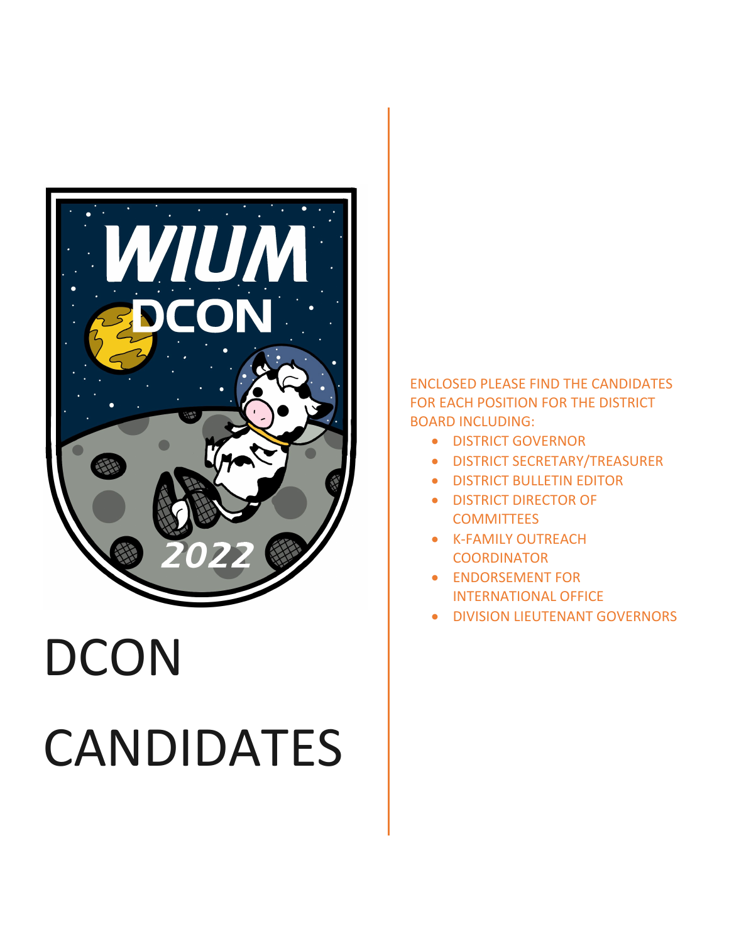

# **DCON** CANDIDATES

ENCLOSED PLEASE FIND THE CANDIDATES FOR EACH POSITION FOR THE DISTRICT BOARD INCLUDING:

- DISTRICT GOVERNOR
- DISTRICT SECRETARY/TREASURER
- **DISTRICT BULLETIN EDITOR**
- DISTRICT DIRECTOR OF **COMMITTEES**
- K-FAMILY OUTREACH **COORDINATOR**
- ENDORSEMENT FOR INTERNATIONAL OFFICE
- DIVISION LIEUTENANT GOVERNORS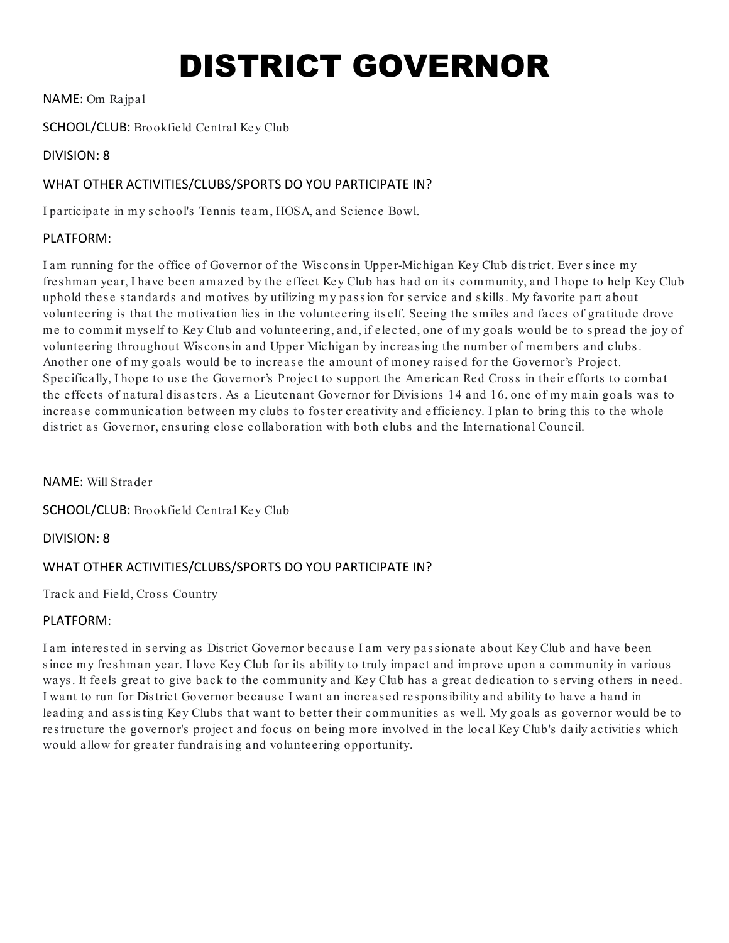# DISTRICT GOVERNOR

NAME: Om Rajpal

### SCHOOL/CLUB: Brookfield Central Key Club

#### DIVISION: 8

# WHAT OTHER ACTIVITIES/CLUBS/SPORTS DO YOU PARTICIPATE IN?

I participate in my s chool's Tennis team, HOSA, and Science Bowl.

#### PLATFORM:

I am running for the office of Governor of the Wis cons in Upper-Michigan Key Club dis trict. Ever s ince my fres hman year, I have been amazed by the effect Key Club has had on its community, and I hope to help Key Club uphold these standards and motives by utilizing my passion for service and skills. My favorite part about volunteering is that the motivation lies in the volunteering its elf. Seeing the s miles and faces of gratitude drove me to commit mys elf to Key Club and volunteering, and, if elected, one of my goals would be to s pread the joy of volunteering throughout Wis cons in and Upper Michigan by increas ing the number of members and clubs . Another one of my goals would be to increas e the amount of money rais ed for the Governor's Project. Specifically, I hope to use the Governor's Project to support the American Red Cross in their efforts to combat the effects of natural dis as ters . As a Lieutenant Governor for Divis ions 14 and 16, one of my main goals was to increas e communication between my clubs to fos ter creativity and efficiency. I plan to bring this to the whole dis trict as Governor, ens uring clos e collaboration with both clubs and the International Council.

NAME: Will Strader

SCHOOL/CLUB: Brookfield Central Key Club

DIVISION: 8

# WHAT OTHER ACTIVITIES/CLUBS/SPORTS DO YOU PARTICIPATE IN?

Track and Field, Cross Country

#### PLATFORM:

I am interes ted in s erving as Dis trict Governor becaus e I am very pas s ionate about Key Club and have been s ince my fres hman year. I love Key Club for its ability to truly impact and improve upon a community in various ways. It feels great to give back to the community and Key Club has a great dedication to serving others in need. I want to run for Dis trict Governor becaus e I want an increas ed res pons ibility and ability to have a hand in leading and assisting Key Clubs that want to better their communities as well. My goals as governor would be to res tructure the governor's project and focus on being more involved in the local Key Club's daily activities which would allow for greater fundrais ing and volunteering opportunity.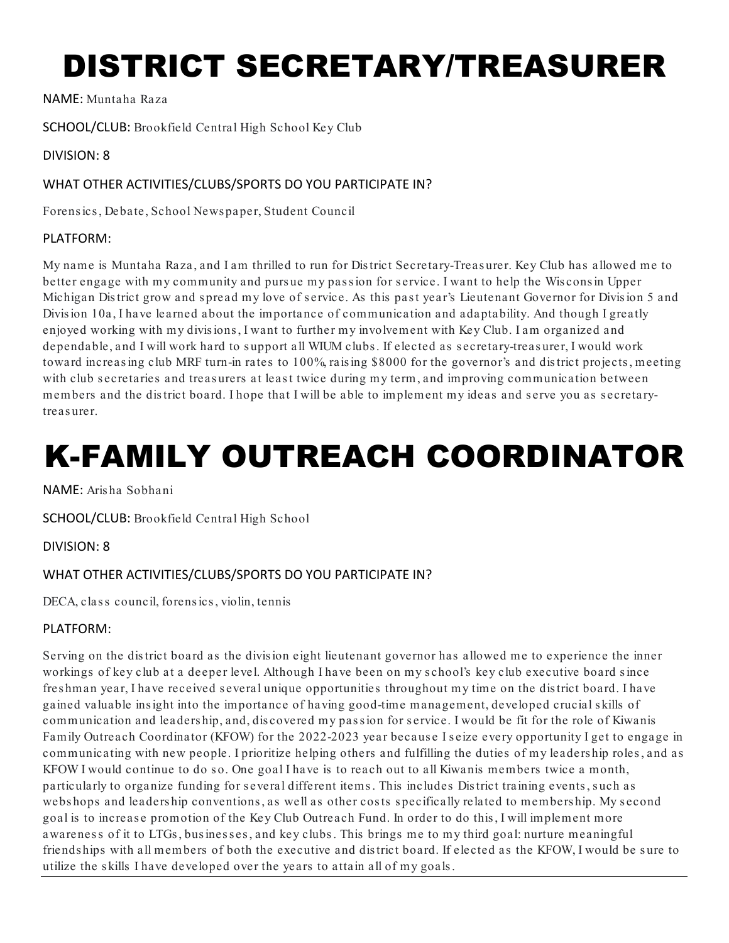# DISTRICT SECRETARY/TREASURER

NAME: Muntaha Raza

SCHOOL/CLUB: Brookfield Central High School Key Club

### DIVISION: 8

### WHAT OTHER ACTIVITIES/CLUBS/SPORTS DO YOU PARTICIPATE IN?

Forens ics , Debate, School News paper, Student Council

#### PLATFORM:

My name is Muntaha Raza, and I am thrilled to run for Dis trict Secretary-Treas urer. Key Club has allowed me to better engage with my community and pursue my passion for service. I want to help the Wisconsin Upper Michigan District grow and spread my love of service. As this past year's Lieutenant Governor for Division 5 and Divis ion 10a, I have learned about the importance of communication and adaptability. And though I greatly enjoyed working with my divis ions , I want to further my involvement with Key Club. I am organized and dependable, and I will work hard to s upport all WIUM clubs . If elected as s ecretary-treas urer, I would work toward increas ing club MRF turn-in rates to 100%, rais ing \$8000 for the governor's and dis trict projects , meeting with club secretaries and treasurers at least twice during my term, and improving communication between members and the dis trict board. I hope that I will be able to implement my ideas and s erve you as s ecretarytreasurer.

# K-FAMILY OUTREACH COORDINATOR

NAME: Aris ha Sobhani

SCHOOL/CLUB: Brookfield Central High School

DIVISION: 8

# WHAT OTHER ACTIVITIES/CLUBS/SPORTS DO YOU PARTICIPATE IN?

DECA, class council, forensics, violin, tennis

# PLATFORM:

Serving on the dis trict board as the divis ion eight lieutenant governor has allowed me to experience the inner workings of key club at a deeper level. Although I have been on my s chool's key club executive board s ince fres hman year, I have received s everal unique opportunities throughout my time on the dis trict board. I have gained valuable ins ight into the importance of having good-time management, developed crucial s kills of communication and leaders hip, and, discovered my passion for service. I would be fit for the role of Kiwanis Family Outreach Coordinator (KFOW) for the 2022-2023 year becaus e I s eize every opportunity I get to engage in communicating with new people. I prioritize helping others and fulfilling the duties of my leaders hip roles , and as KFOW I would continue to do so. One goal I have is to reach out to all Kiwanis members twice a month, particularly to organize funding for several different items. This includes District training events, such as webshops and leadership conventions, as well as other costs specifically related to membership. My second goal is to increas e promotion of the Key Club Outreach Fund. In order to do this , I will implement more awareness of it to LTGs, businesses, and key clubs. This brings me to my third goal: nurture meaningful friendships with all members of both the executive and district board. If elected as the KFOW, I would be sure to utilize the s kills I have developed over the years to attain all of my goals .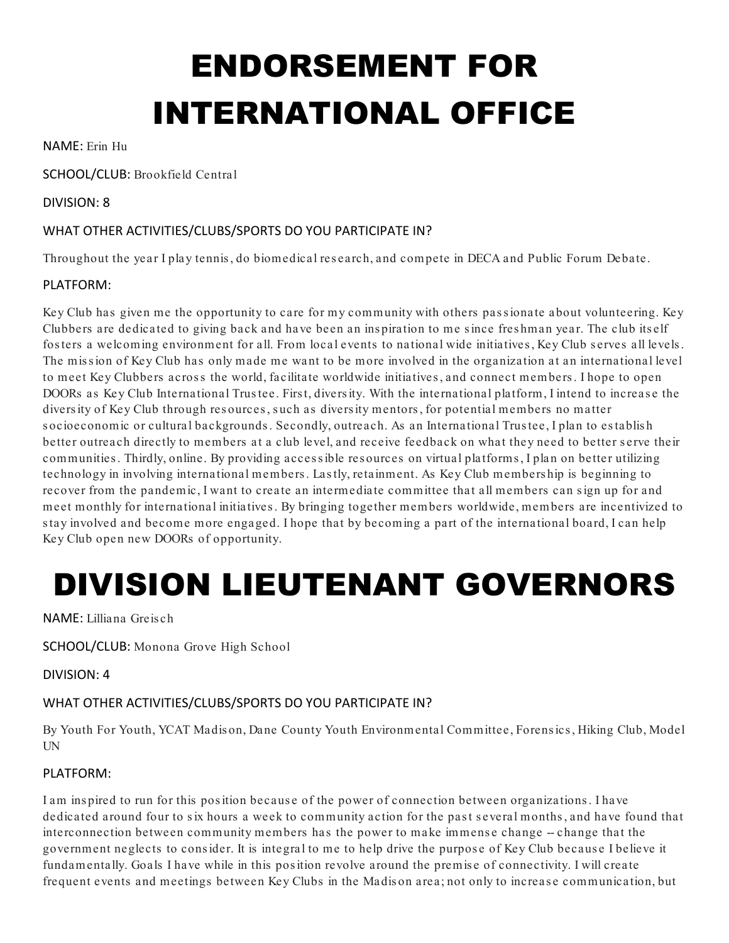# ENDORSEMENT FOR INTERNATIONAL OFFICE

NAME: Erin Hu

SCHOOL/CLUB: Brookfield Central

# DIVISION: 8

# WHAT OTHER ACTIVITIES/CLUBS/SPORTS DO YOU PARTICIPATE IN?

Throughout the year I play tennis , do biomedical res earch, and compete in DECA and Public Forum Debate.

# PLATFORM:

Key Club has given me the opportunity to care for my community with others pas s ionate about volunteering. Key Clubbers are dedicated to giving back and have been an ins piration to me s ince fres hman year. The club its elf fosters a welcoming environment for all. From local events to national wide initiatives, Key Club serves all levels. The mission of Key Club has only made me want to be more involved in the organization at an international level to meet Key Clubbers across the world, facilitate worldwide initiatives, and connect members. I hope to open DOORs as Key Club International Trus tee. Firs t, divers ity. With the international platform, I intend to increas e the divers ity of Key Club through res ources , s uch as divers ity mentors , for potential members no matter socioeconomic or cultural backgrounds. Secondly, outreach. As an International Trustee, I plan to establish better outreach directly to members at a club level, and receive feedback on what they need to better s erve their communities . Thirdly, online. By providing acces s ible res ources on virtual platforms , I plan on better utilizing technology in involving international members . Las tly, retainment. As Key Club members hip is beginning to recover from the pandemic, I want to create an intermediate committee that all members can s ign up for and meet monthly for international initiatives . By bringing together members worldwide, members are incentivized to s tay involved and become more engaged. I hope that by becoming a part of the international board, I can help Key Club open new DOORs of opportunity.

# DIVISION LIEUTENANT GOVERNORS

NAME: Lilliana Greis ch

SCHOOL/CLUB: Monona Grove High School

DIVISION: 4

# WHAT OTHER ACTIVITIES/CLUBS/SPORTS DO YOU PARTICIPATE IN?

By Youth For Youth, YCAT Madis on, Dane County Youth Environmental Committee, Forens ics , Hiking Club, Model UN

# PLATFORM:

I am ins pired to run for this pos ition becaus e of the power of connection between organizations . I have dedicated around four to six hours a week to community action for the past several months, and have found that interconnection between community members has the power to make immens e change -- change that the government neglects to cons ider. It is integral to me to help drive the purpos e of Key Club becaus e I believe it fundamentally. Goals I have while in this pos ition revolve around the premis e of connectivity. I will create frequent events and meetings between Key Clubs in the Madis on area; not only to increas e communication, but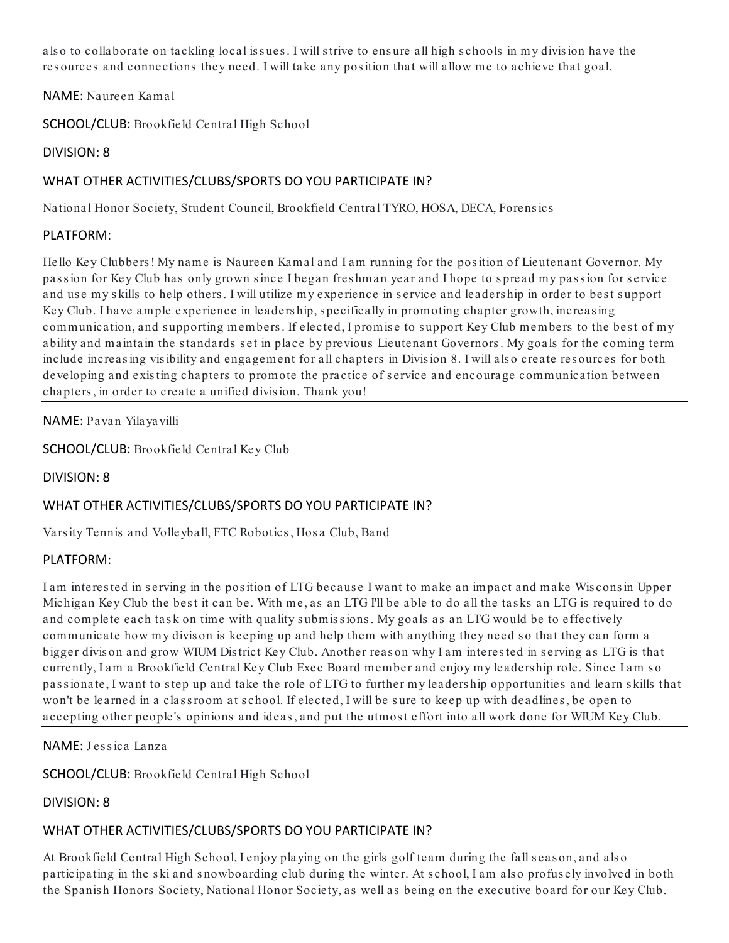also to collaborate on tackling local issues. I will strive to ensure all high schools in my division have the resources and connections they need. I will take any pos ition that will allow me to achieve that goal.

#### NAME: Naureen Kamal

SCHOOL/CLUB: Brookfield Central High School

#### DIVISION: 8

# WHAT OTHER ACTIVITIES/CLUBS/SPORTS DO YOU PARTICIPATE IN?

National Honor Society, Student Council, Brookfield Central TYRO, HOSA, DECA, Forens ics

#### PLATFORM:

Hello Key Clubbers ! My name is Naureen Kamal and I am running for the pos ition of Lieutenant Governor. My passion for Key Club has only grown since I began freshman year and I hope to spread my passion for service and use my skills to help others. I will utilize my experience in service and leadership in order to best support Key Club. I have ample experience in leaders hip, s pecifically in promoting chapter growth, increas ing communication, and supporting members. If elected, I promise to support Key Club members to the best of my ability and maintain the standards set in place by previous Lieutenant Governors. My goals for the coming term include increas ing vis ibility and engagement for all chapters in Divis ion 8. I will als o create res ources for both developing and existing chapters to promote the practice of service and encourage communication between chapters , in order to create a unified divis ion. Thank you!

NAME: Pavan Yilayavilli

SCHOOL/CLUB: Brookfield Central Key Club

DIVISION: 8

# WHAT OTHER ACTIVITIES/CLUBS/SPORTS DO YOU PARTICIPATE IN?

Vars ity Tennis and Volleyball, FTC Robotics , Hos a Club, Band

#### PLATFORM:

I am interes ted in s erving in the pos ition of LTG becaus e I want to make an impact and make Wis cons in Upper Michigan Key Club the best it can be. With me, as an LTG I'll be able to do all the tasks an LTG is required to do and complete each task on time with quality submissions. My goals as an LTG would be to effectively communicate how my divison is keeping up and help them with anything they need so that they can form a bigger divis on and grow WIUM Dis trict Key Club. Another reas on why I am interes ted in s erving as LTG is that currently, I am a Brookfield Central Key Club Exec Board member and enjoy my leaders hip role. Since I am s o passionate, I want to step up and take the role of LTG to further my leaders hip opportunities and learn skills that won't be learned in a class room at school. If elected, I will be sure to keep up with deadlines, be open to accepting other people's opinions and ideas , and put the utmos t effort into all work done for WIUM Key Club.

NAME: J es s ica Lanza

SCHOOL/CLUB: Brookfield Central High School

DIVISION: 8

# WHAT OTHER ACTIVITIES/CLUBS/SPORTS DO YOU PARTICIPATE IN?

At Brookfield Central High School, I enjoy playing on the girls golf team during the fall season, and also participating in the ski and snowboarding club during the winter. At school, I am also profusely involved in both the Spanis h Honors Society, National Honor Society, as well as being on the executive board for our Key Club.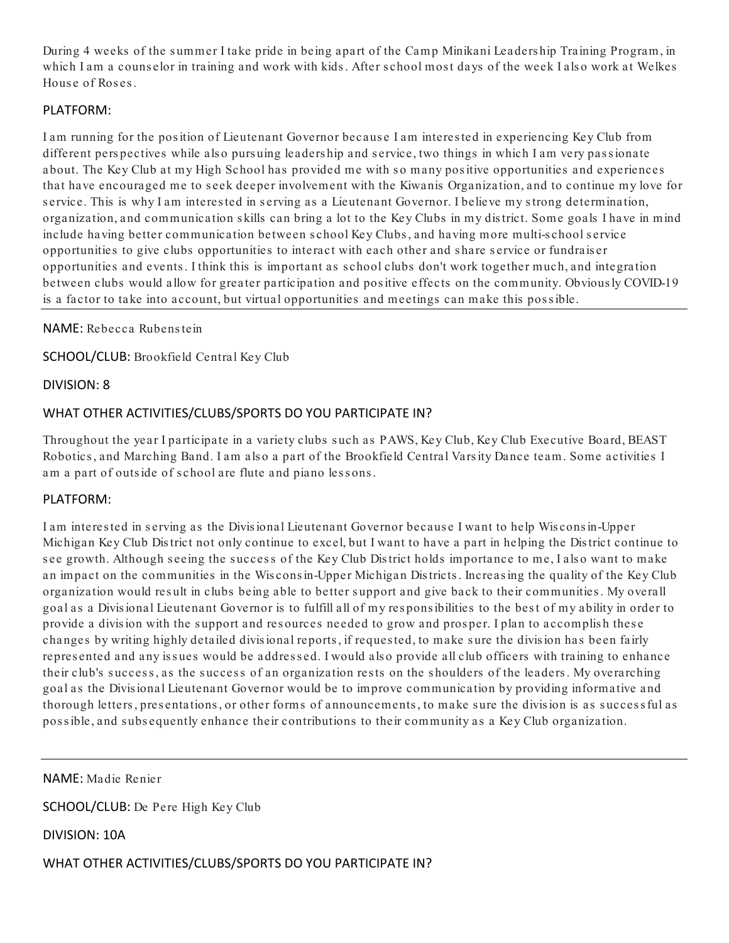During 4 weeks of the summer I take pride in being apart of the Camp Minikani Leadership Training Program, in which I am a counselor in training and work with kids. After school most days of the week I also work at Welkes House of Roses.

#### PLATFORM:

I am running for the pos ition of Lieutenant Governor becaus e I am interes ted in experiencing Key Club from different pers pectives while als o purs uing leaders hip and s ervice, two things in which I am very pas s ionate about. The Key Club at my High School has provided me with so many positive opportunities and experiences that have encouraged me to s eek deeper involvement with the Kiwanis Organization, and to continue my love for s ervice. This is why I am interes ted in s erving as a Lieutenant Governor. I believe my s trong determination, organization, and communication s kills can bring a lot to the Key Clubs in my dis trict. Some goals I have in mind include having better communication between s chool Key Clubs , and having more multi-s chool s ervice opportunities to give clubs opportunities to interact with each other and s hare s ervice or fundrais er opportunities and events . I think this is important as s chool clubs don't work together much, and integration between clubs would allow for greater participation and positive effects on the community. Obvious ly COVID-19 is a factor to take into account, but virtual opportunities and meetings can make this pos s ible.

NAME: Rebecca Rubens tein

SCHOOL/CLUB: Brookfield Central Key Club

DIVISION: 8

# WHAT OTHER ACTIVITIES/CLUBS/SPORTS DO YOU PARTICIPATE IN?

Throughout the year I participate in a variety clubs s uch as PAWS, Key Club, Key Club Executive Board, BEAST Robotics, and Marching Band. I am also a part of the Brookfield Central Varsity Dance team. Some activities I am a part of outside of school are flute and piano lessons.

#### PLATFORM:

I am interes ted in s erving as the Divis ional Lieutenant Governor becaus e I want to help Wis cons in-Upper Michigan Key Club Dis trict not only continue to excel, but I want to have a part in helping the Dis trict continue to see growth. Although seeing the success of the Key Club District holds importance to me, I also want to make an impact on the communities in the Wis cons in-Upper Michigan Dis tricts . Increas ing the quality of the Key Club organization would result in clubs being able to better support and give back to their communities. My overall goal as a Divis ional Lieutenant Governor is to fulfill all of my res pons ibilities to the bes t of my ability in order to provide a division with the support and resources needed to grow and prosper. I plan to accomplish these changes by writing highly detailed divis ional reports , if reques ted, to make s ure the divis ion has been fairly represented and any issues would be addressed. I would also provide all club officers with training to enhance their club's success, as the success of an organization rests on the shoulders of the leaders. My overarching goal as the Divis ional Lieutenant Governor would be to improve communication by providing informative and thorough letters, presentations, or other forms of announcements, to make sure the division is as successful as pos s ible, and s ubs equently enhance their contributions to their community as a Key Club organization.

NAME: Madie Renier

SCHOOL/CLUB: De Pere High Key Club

DIVISION: 10A

WHAT OTHER ACTIVITIES/CLUBS/SPORTS DO YOU PARTICIPATE IN?